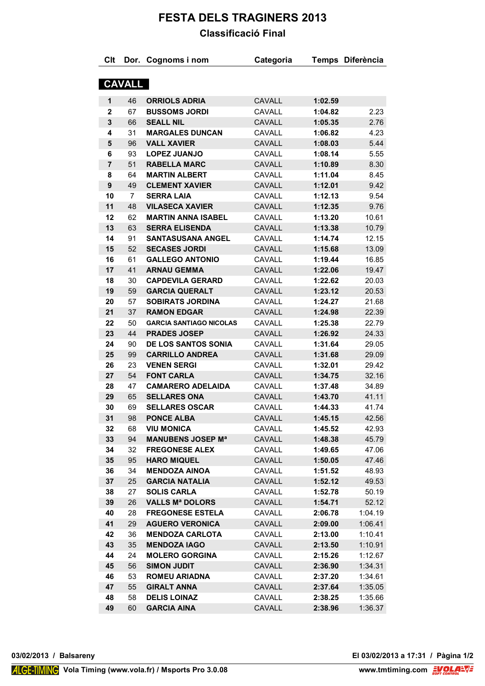## **FESTA DELS TRAGINERS 2013 Classificació Final**

| Clt            |                | Dor. Cognoms i nom             | Categoria     |         | Temps Diferència |
|----------------|----------------|--------------------------------|---------------|---------|------------------|
|                | <b>CAVALL</b>  |                                |               |         |                  |
|                |                |                                |               |         |                  |
| 1              | 46             | <b>ORRIOLS ADRIA</b>           | <b>CAVALL</b> | 1:02.59 |                  |
| $\mathbf{2}$   | 67             | <b>BUSSOMS JORDI</b>           | CAVALL        | 1:04.82 | 2.23             |
| 3              | 66             | <b>SEALL NIL</b>               | CAVALL        | 1:05.35 | 2.76             |
| 4              | 31             | <b>MARGALES DUNCAN</b>         | CAVALL        | 1:06.82 | 4.23             |
| 5              | 96             | <b>VALL XAVIER</b>             | <b>CAVALL</b> | 1:08.03 | 5.44             |
| 6              | 93             | <b>LOPEZ JUANJO</b>            | CAVALL        | 1:08.14 | 5.55             |
| $\overline{7}$ | 51             | <b>RABELLA MARC</b>            | <b>CAVALL</b> | 1:10.89 | 8.30             |
| 8              | 64             | <b>MARTIN ALBERT</b>           | CAVALL        | 1:11.04 | 8.45             |
| 9              | 49             | <b>CLEMENT XAVIER</b>          | CAVALL        | 1:12.01 | 9.42             |
| 10             | $\overline{7}$ | <b>SERRA LAIA</b>              | CAVALL        | 1:12.13 | 9.54             |
| 11             | 48             | <b>VILASECA XAVIER</b>         | <b>CAVALL</b> | 1:12.35 | 9.76             |
| 12             | 62             | <b>MARTIN ANNA ISABEL</b>      | CAVALL        | 1:13.20 | 10.61            |
| 13             | 63             | <b>SERRA ELISENDA</b>          | <b>CAVALL</b> | 1:13.38 | 10.79            |
| 14             | 91             | <b>SANTASUSANA ANGEL</b>       | CAVALL        | 1:14.74 | 12.15            |
| 15             | 52             | <b>SECASES JORDI</b>           | <b>CAVALL</b> | 1:15.68 | 13.09            |
| 16             | 61             | <b>GALLEGO ANTONIO</b>         | CAVALL        | 1:19.44 | 16.85            |
| 17             | 41             | <b>ARNAU GEMMA</b>             | <b>CAVALL</b> | 1:22.06 | 19.47            |
| 18             | 30             | <b>CAPDEVILA GERARD</b>        | CAVALL        | 1:22.62 | 20.03            |
| 19             | 59             | <b>GARCIA QUERALT</b>          | <b>CAVALL</b> | 1:23.12 | 20.53            |
| 20             | 57             | <b>SOBIRATS JORDINA</b>        | CAVALL        | 1:24.27 | 21.68            |
| 21             | 37             | <b>RAMON EDGAR</b>             | <b>CAVALL</b> | 1:24.98 | 22.39            |
| 22             | 50             | <b>GARCIA SANTIAGO NICOLAS</b> | CAVALL        | 1:25.38 | 22.79            |
| 23             | 44             | <b>PRADES JOSEP</b>            | <b>CAVALL</b> | 1:26.92 | 24.33            |
| 24             | 90             | <b>DE LOS SANTOS SONIA</b>     | CAVALL        | 1:31.64 | 29.05            |
| 25             | 99             | <b>CARRILLO ANDREA</b>         | <b>CAVALL</b> | 1:31.68 | 29.09            |
| 26             | 23             | <b>VENEN SERGI</b>             | CAVALL        | 1:32.01 | 29.42            |
| 27             | 54             | <b>FONT CARLA</b>              | CAVALL        | 1:34.75 | 32.16            |
| 28             | 47             | <b>CAMARERO ADELAIDA</b>       | CAVALL        | 1:37.48 | 34.89            |
| 29             | 65             | <b>SELLARES ONA</b>            | CAVALL        | 1:43.70 | 41.11            |
| 30             | 69             | <b>SELLARES OSCAR</b>          | CAVALL        | 1:44.33 | 41.74            |
| 31             | 98             | <b>PONCE ALBA</b>              | CAVALL        | 1:45.15 | 42.56            |
| 32             | 68             | <b>VIU MONICA</b>              | CAVALL        | 1:45.52 | 42.93            |
| 33             | 94             | <b>MANUBENS JOSEP Ma</b>       | <b>CAVALL</b> | 1:48.38 | 45.79            |
| 34             | 32             | <b>FREGONESE ALEX</b>          | CAVALL        | 1:49.65 | 47.06            |
| 35             | 95             | <b>HARO MIQUEL</b>             | <b>CAVALL</b> | 1:50.05 | 47.46            |
| 36             | 34             | <b>MENDOZA AINOA</b>           | CAVALL        | 1:51.52 | 48.93            |
| 37             | 25             | <b>GARCIA NATALIA</b>          | <b>CAVALL</b> | 1:52.12 | 49.53            |
| 38             | 27             | <b>SOLIS CARLA</b>             | CAVALL        | 1:52.78 | 50.19            |
| 39             | 26             | <b>VALLS Mª DOLORS</b>         | <b>CAVALL</b> | 1:54.71 | 52.12            |
| 40             | 28             | <b>FREGONESE ESTELA</b>        | CAVALL        | 2:06.78 | 1:04.19          |
| 41             | 29             | <b>AGUERO VERONICA</b>         | <b>CAVALL</b> | 2:09.00 | 1:06.41          |
| 42             | 36             | <b>MENDOZA CARLOTA</b>         | CAVALL        | 2:13.00 | 1:10.41          |
| 43             | 35             | <b>MENDOZA IAGO</b>            | <b>CAVALL</b> | 2:13.50 | 1:10.91          |
| 44             | 24             | <b>MOLERO GORGINA</b>          | CAVALL        | 2:15.26 | 1:12.67          |
| 45             | 56             | <b>SIMON JUDIT</b>             | <b>CAVALL</b> | 2:36.90 | 1:34.31          |
| 46             | 53             | <b>ROMEU ARIADNA</b>           | CAVALL        | 2:37.20 | 1:34.61          |
| 47             | 55             | <b>GIRALT ANNA</b>             | <b>CAVALL</b> | 2:37.64 | 1:35.05          |
| 48             | 58             | <b>DELIS LOINAZ</b>            | CAVALL        | 2:38.25 | 1:35.66          |
| 49             | 60             | <b>GARCIA AINA</b>             | <b>CAVALL</b> | 2:38.96 | 1:36.37          |
|                |                |                                |               |         |                  |